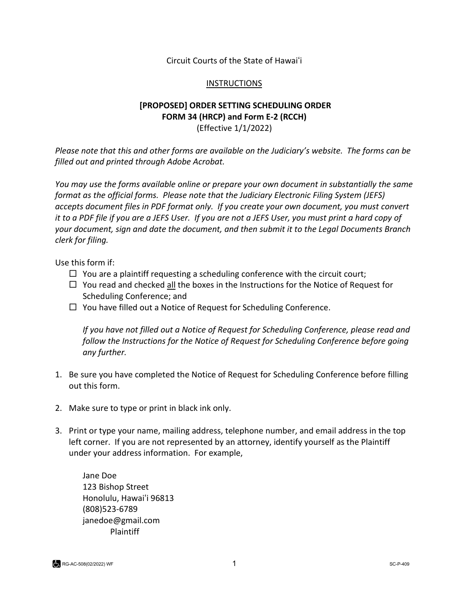Circuit Courts of the State of Hawaiʻi

## INSTRUCTIONS

## **[PROPOSED] ORDER SETTING SCHEDULING ORDER FORM 34 (HRCP) and Form E-2 (RCCH)** (Effective 1/1/2022)

*Please note that this and other forms are available on the Judiciary's website. The forms can be filled out and printed through Adobe Acrobat.* 

*You may use the forms available online or prepare your own document in substantially the same format as the official forms. Please note that the Judiciary Electronic Filing System (JEFS) accepts document files in PDF format only. If you create your own document, you must convert it to a PDF file if you are a JEFS User. If you are not a JEFS User, you must print a hard copy of your document, sign and date the document, and then submit it to the Legal Documents Branch clerk for filing.* 

Use this form if:

- $\Box$  You are a plaintiff requesting a scheduling conference with the circuit court;
- $\Box$  You read and checked all the boxes in the Instructions for the Notice of Request for Scheduling Conference; and
- $\Box$  You have filled out a Notice of Request for Scheduling Conference.

*If you have not filled out a Notice of Request for Scheduling Conference, please read and follow the Instructions for the Notice of Request for Scheduling Conference before going any further.*

- 1. Be sure you have completed the Notice of Request for Scheduling Conference before filling out this form.
- 2. Make sure to type or print in black ink only.
- 3. Print or type your name, mailing address, telephone number, and email address in the top left corner. If you are not represented by an attorney, identify yourself as the Plaintiff under your address information. For example,

Jane Doe 123 Bishop Street Honolulu, Hawaiʻi 96813 (808)523-6789 janedoe@gmail.com Plaintiff

RG-AC-508(02/2022) WF SC-P-409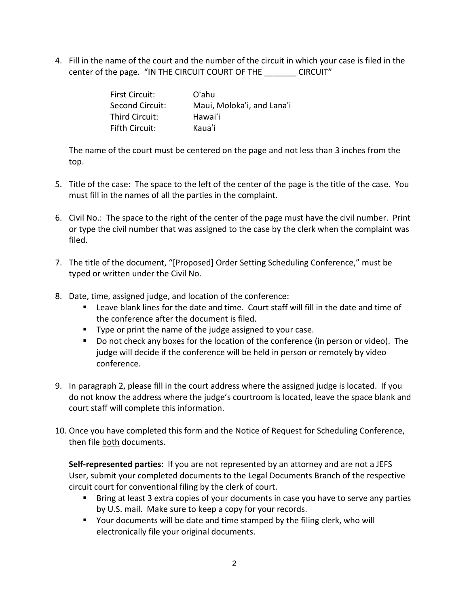4. Fill in the name of the court and the number of the circuit in which your case is filed in the center of the page. "IN THE CIRCUIT COURT OF THE \_\_\_\_\_\_\_ CIRCUIT"

| <b>First Circuit:</b> | O'ahu                      |
|-----------------------|----------------------------|
| Second Circuit:       | Maui, Moloka'i, and Lana'i |
| Third Circuit:        | Hawai'i                    |
| <b>Fifth Circuit:</b> | Kaua'i                     |

The name of the court must be centered on the page and not less than 3 inches from the top.

- 5. Title of the case: The space to the left of the center of the page is the title of the case. You must fill in the names of all the parties in the complaint.
- 6. Civil No.: The space to the right of the center of the page must have the civil number. Print or type the civil number that was assigned to the case by the clerk when the complaint was filed.
- 7. The title of the document, "[Proposed] Order Setting Scheduling Conference," must be typed or written under the Civil No.
- 8. Date, time, assigned judge, and location of the conference:
	- Leave blank lines for the date and time. Court staff will fill in the date and time of the conference after the document is filed.
	- Type or print the name of the judge assigned to your case.
	- Do not check any boxes for the location of the conference (in person or video). The judge will decide if the conference will be held in person or remotely by video conference.
- 9. In paragraph 2, please fill in the court address where the assigned judge is located. If you do not know the address where the judge's courtroom is located, leave the space blank and court staff will complete this information.
- 10. Once you have completed this form and the Notice of Request for Scheduling Conference, then file both documents.

**Self-represented parties:** If you are not represented by an attorney and are not a JEFS User, submit your completed documents to the Legal Documents Branch of the respective circuit court for conventional filing by the clerk of court.

- Bring at least 3 extra copies of your documents in case you have to serve any parties by U.S. mail. Make sure to keep a copy for your records.
- Your documents will be date and time stamped by the filing clerk, who will electronically file your original documents.